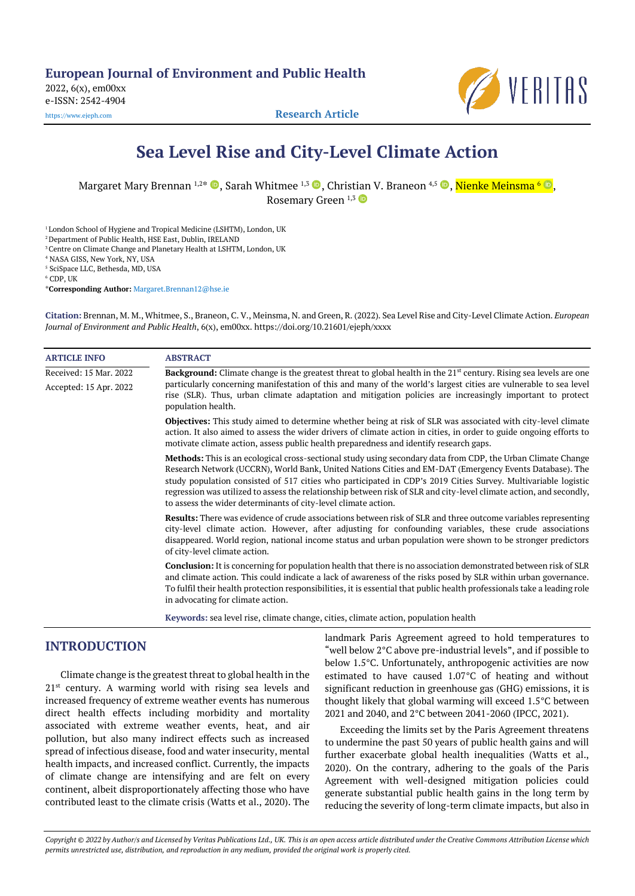**European Journal of Environment and Public Health**

2022, 6(x), em00xx e-ISSN: 2542-4904

[https://www.ejeph.com](https://www.ejeph.com/) **Research Article**



VERITAS

Margaret Mary Brennan <sup>1,2</sup>\* ©, Sarah Whitmee <sup>1,3</sup> ©, Christian V. Braneon <sup>4,5</sup> ©, <mark>Nienke Meinsma '</mark> ©, Rosemary Green <sup>1,3</sup>

<sup>1</sup> London School of Hygiene and Tropical Medicine (LSHTM), London, UK

<sup>2</sup> Department of Public Health, HSE East, Dublin, IRELAND

<sup>3</sup> Centre on Climate Change and Planetary Health at LSHTM, London, UK

<sup>4</sup> NASA GISS, New York, NY, USA

<sup>5</sup> SciSpace LLC, Bethesda, MD, USA

 $6$  CDP, UK

\***Corresponding Author:** [Margaret.Brennan12@hse.ie](mailto:Margaret.Brennan12@hse.ie)

**Citation:** Brennan, M. M., Whitmee, S., Braneon, C. V., Meinsma, N. and Green, R. (2022). Sea Level Rise and City-Level Climate Action. *European Journal of Environment and Public Health*, 6(x), em00xx. https://doi.org/10.21601/ejeph/xxxx

| <b>ARTICLE INFO</b>    | <b>ABSTRACT</b>                                                                                                                                                                                                                                                                                                                                                                                                                                                                                                                   |
|------------------------|-----------------------------------------------------------------------------------------------------------------------------------------------------------------------------------------------------------------------------------------------------------------------------------------------------------------------------------------------------------------------------------------------------------------------------------------------------------------------------------------------------------------------------------|
| Received: 15 Mar. 2022 | <b>Background:</b> Climate change is the greatest threat to global health in the $21st$ century. Rising sea levels are one                                                                                                                                                                                                                                                                                                                                                                                                        |
| Accepted: 15 Apr. 2022 | particularly concerning manifestation of this and many of the world's largest cities are vulnerable to sea level<br>rise (SLR). Thus, urban climate adaptation and mitigation policies are increasingly important to protect<br>population health.                                                                                                                                                                                                                                                                                |
|                        | <b>Objectives:</b> This study aimed to determine whether being at risk of SLR was associated with city-level climate<br>action. It also aimed to assess the wider drivers of climate action in cities, in order to guide ongoing efforts to<br>motivate climate action, assess public health preparedness and identify research gaps.                                                                                                                                                                                             |
|                        | Methods: This is an ecological cross-sectional study using secondary data from CDP, the Urban Climate Change<br>Research Network (UCCRN), World Bank, United Nations Cities and EM-DAT (Emergency Events Database). The<br>study population consisted of 517 cities who participated in CDP's 2019 Cities Survey. Multivariable logistic<br>regression was utilized to assess the relationship between risk of SLR and city-level climate action, and secondly,<br>to assess the wider determinants of city-level climate action. |
|                        | <b>Results:</b> There was evidence of crude associations between risk of SLR and three outcome variables representing<br>city-level climate action. However, after adjusting for confounding variables, these crude associations<br>disappeared. World region, national income status and urban population were shown to be stronger predictors<br>of city-level climate action.                                                                                                                                                  |
|                        | <b>Conclusion:</b> It is concerning for population health that there is no association demonstrated between risk of SLR<br>and climate action. This could indicate a lack of awareness of the risks posed by SLR within urban governance.<br>To fulfil their health protection responsibilities, it is essential that public health professionals take a leading role<br>in advocating for climate action.                                                                                                                        |
|                        | Keywords: sea level rise, climate change, cities, climate action, population health                                                                                                                                                                                                                                                                                                                                                                                                                                               |

# **INTRODUCTION**

Climate change is the greatest threat to global health in the 21<sup>st</sup> century. A warming world with rising sea levels and increased frequency of extreme weather events has numerous direct health effects including morbidity and mortality associated with extreme weather events, heat, and air pollution, but also many indirect effects such as increased spread of infectious disease, food and water insecurity, mental health impacts, and increased conflict. Currently, the impacts of climate change are intensifying and are felt on every continent, albeit disproportionately affecting those who have contributed least to the climate crisis (Watts et al., 2020). The landmark Paris Agreement agreed to hold temperatures to "well below 2°C above pre-industrial levels", and if possible to below 1.5°C. Unfortunately, anthropogenic activities are now estimated to have caused 1.07°C of heating and without significant reduction in greenhouse gas (GHG) emissions, it is thought likely that global warming will exceed 1.5°C between 2021 and 2040, and 2°C between 2041-2060 (IPCC, 2021).

Exceeding the limits set by the Paris Agreement threatens to undermine the past 50 years of public health gains and will further exacerbate global health inequalities (Watts et al., 2020). On the contrary, adhering to the goals of the Paris Agreement with well-designed mitigation policies could generate substantial public health gains in the long term by reducing the severity of long-term climate impacts, but also in

*Copyright © 2022 by Author/s and Licensed by Veritas Publications Ltd., UK. This is an open access article distributed under the Creative Commons Attribution License which permits unrestricted use, distribution, and reproduction in any medium, provided the original work is properly cited.*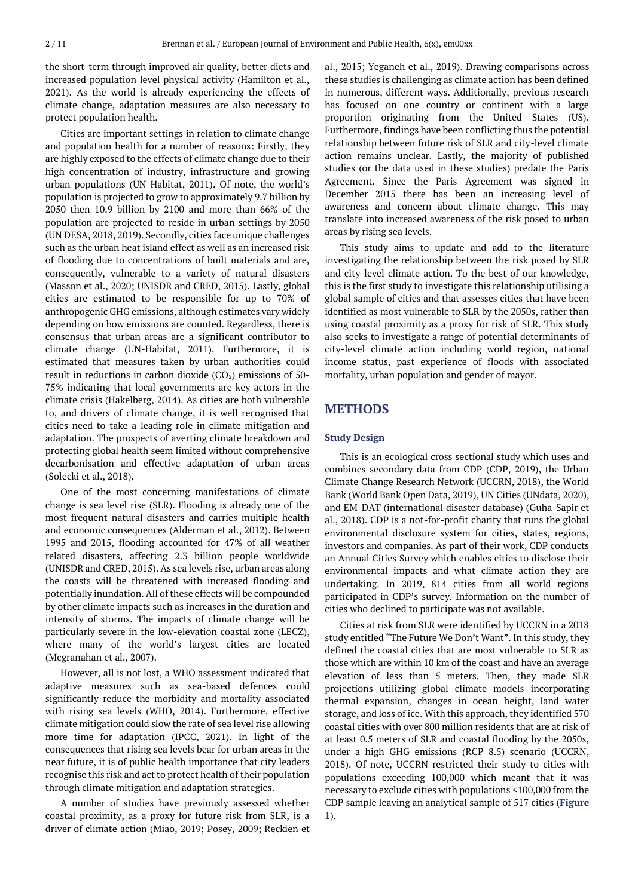the short-term through improved air quality, better diets and increased population level physical activity (Hamilton et al., 2021). As the world is already experiencing the effects of climate change, adaptation measures are also necessary to protect population health.

Cities are important settings in relation to climate change and population health for a number of reasons: Firstly, they are highly exposed to the effects of climate change due to their high concentration of industry, infrastructure and growing urban populations (UN-Habitat, 2011). Of note, the world's population is projected to grow to approximately 9.7 billion by 2050 then 10.9 billion by 2100 and more than 66% of the population are projected to reside in urban settings by 2050 (UN DESA, 2018, 2019). Secondly, cities face unique challenges such as the urban heat island effect as well as an increased risk of flooding due to concentrations of built materials and are, consequently, vulnerable to a variety of natural disasters (Masson et al., 2020; UNISDR and CRED, 2015). Lastly, global cities are estimated to be responsible for up to 70% of anthropogenic GHG emissions, although estimates vary widely depending on how emissions are counted. Regardless, there is consensus that urban areas are a significant contributor to climate change (UN-Habitat, 2011). Furthermore, it is estimated that measures taken by urban authorities could result in reductions in carbon dioxide  $(CO<sub>2</sub>)$  emissions of 50-75% indicating that local governments are key actors in the climate crisis (Hakelberg, 2014). As cities are both vulnerable to, and drivers of climate change, it is well recognised that cities need to take a leading role in climate mitigation and adaptation. The prospects of averting climate breakdown and protecting global health seem limited without comprehensive decarbonisation and effective adaptation of urban areas (Solecki et al., 2018).

One of the most concerning manifestations of climate change is sea level rise (SLR). Flooding is already one of the most frequent natural disasters and carries multiple health and economic consequences (Alderman et al., 2012). Between 1995 and 2015, flooding accounted for 47% of all weather related disasters, affecting 2.3 billion people worldwide (UNISDR and CRED, 2015). As sea levels rise, urban areas along the coasts will be threatened with increased flooding and potentially inundation. All of these effects will be compounded by other climate impacts such as increases in the duration and intensity of storms. The impacts of climate change will be particularly severe in the low-elevation coastal zone (LECZ), where many of the world's largest cities are located (Mcgranahan et al., 2007).

However, all is not lost, a WHO assessment indicated that adaptive measures such as sea-based defences could significantly reduce the morbidity and mortality associated with rising sea levels (WHO, 2014). Furthermore, effective climate mitigation could slow the rate of sea level rise allowing more time for adaptation (IPCC, 2021). In light of the consequences that rising sea levels bear for urban areas in the near future, it is of public health importance that city leaders recognise this risk and act to protect health of their population through climate mitigation and adaptation strategies.

A number of studies have previously assessed whether coastal proximity, as a proxy for future risk from SLR, is a driver of climate action (Miao, 2019; Posey, 2009; Reckien et

al., 2015; Yeganeh et al., 2019). Drawing comparisons across these studies is challenging as climate action has been defined in numerous, different ways. Additionally, previous research has focused on one country or continent with a large proportion originating from the United States (US). Furthermore, findings have been conflicting thus the potential relationship between future risk of SLR and city-level climate action remains unclear. Lastly, the majority of published studies (or the data used in these studies) predate the Paris Agreement. Since the Paris Agreement was signed in December 2015 there has been an increasing level of awareness and concern about climate change. This may translate into increased awareness of the risk posed to urban areas by rising sea levels.

This study aims to update and add to the literature investigating the relationship between the risk posed by SLR and city-level climate action. To the best of our knowledge, this is the first study to investigate this relationship utilising a global sample of cities and that assesses cities that have been identified as most vulnerable to SLR by the 2050s, rather than using coastal proximity as a proxy for risk of SLR. This study also seeks to investigate a range of potential determinants of city-level climate action including world region, national income status, past experience of floods with associated mortality, urban population and gender of mayor.

## **METHODS**

### **Study Design**

This is an ecological cross sectional study which uses and combines secondary data from CDP (CDP, 2019), the Urban Climate Change Research Network (UCCRN, 2018), the World Bank (World Bank Open Data, 2019), UN Cities (UNdata, 2020), and EM-DAT (international disaster database) (Guha-Sapir et al., 2018). CDP is a not-for-profit charity that runs the global environmental disclosure system for cities, states, regions, investors and companies. As part of their work, CDP conducts an Annual Cities Survey which enables cities to disclose their environmental impacts and what climate action they are undertaking. In 2019, 814 cities from all world regions participated in CDP's survey. Information on the number of cities who declined to participate was not available.

Cities at risk from SLR were identified by UCCRN in a 2018 study entitled "The Future We Don't Want". In this study, they defined the coastal cities that are most vulnerable to SLR as those which are within 10 km of the coast and have an average elevation of less than 5 meters. Then, they made SLR projections utilizing global climate models incorporating thermal expansion, changes in ocean height, land water storage, and loss of ice. With this approach, they identified 570 coastal cities with over 800 million residents that are at risk of at least 0.5 meters of SLR and coastal flooding by the 2050s, under a high GHG emissions (RCP 8.5) scenario (UCCRN, 2018). Of note, UCCRN restricted their study to cities with populations exceeding 100,000 which meant that it was necessary to exclude cities with populations <100,000 from the CDP sample leaving an analytical sample of 517 cities (**Figure 1**).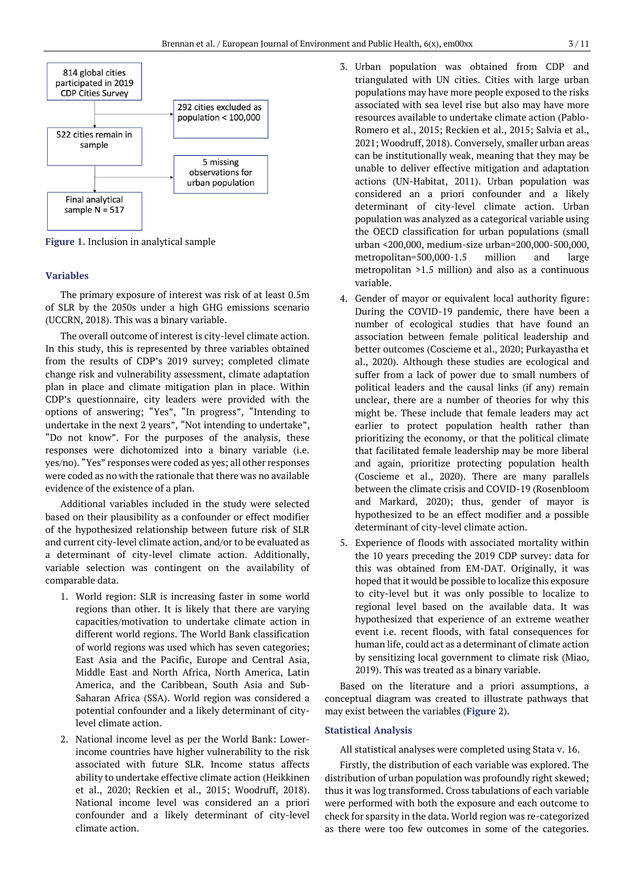

**Figure 1.** Inclusion in analytical sample

### **Variables**

The primary exposure of interest was risk of at least 0.5m of SLR by the 2050s under a high GHG emissions scenario (UCCRN, 2018). This was a binary variable.

The overall outcome of interest is city-level climate action. In this study, this is represented by three variables obtained from the results of CDP's 2019 survey; completed climate change risk and vulnerability assessment, climate adaptation plan in place and climate mitigation plan in place. Within CDP's questionnaire, city leaders were provided with the options of answering; "Yes", "In progress", "Intending to undertake in the next 2 years", "Not intending to undertake", "Do not know". For the purposes of the analysis, these responses were dichotomized into a binary variable (i.e. yes/no). "Yes" responses were coded as yes; all other responses were coded as no with the rationale that there was no available evidence of the existence of a plan.

Additional variables included in the study were selected based on their plausibility as a confounder or effect modifier of the hypothesized relationship between future risk of SLR and current city-level climate action, and/or to be evaluated as a determinant of city-level climate action. Additionally, variable selection was contingent on the availability of comparable data.

- 1. World region: SLR is increasing faster in some world regions than other. It is likely that there are varying capacities/motivation to undertake climate action in different world regions. The World Bank classification of world regions was used which has seven categories; East Asia and the Pacific, Europe and Central Asia, Middle East and North Africa, North America, Latin America, and the Caribbean, South Asia and Sub-Saharan Africa (SSA). World region was considered a potential confounder and a likely determinant of citylevel climate action.
- 2. National income level as per the World Bank: Lowerincome countries have higher vulnerability to the risk associated with future SLR. Income status affects ability to undertake effective climate action (Heikkinen et al., 2020; Reckien et al., 2015; Woodruff, 2018). National income level was considered an a priori confounder and a likely determinant of city-level climate action.
- 3. Urban population was obtained from CDP and triangulated with UN cities. Cities with large urban populations may have more people exposed to the risks associated with sea level rise but also may have more resources available to undertake climate action (Pablo-Romero et al., 2015; Reckien et al., 2015; Salvia et al., 2021; Woodruff, 2018). Conversely, smaller urban areas can be institutionally weak, meaning that they may be unable to deliver effective mitigation and adaptation actions (UN-Habitat, 2011). Urban population was considered an a priori confounder and a likely determinant of city-level climate action. Urban population was analyzed as a categorical variable using the OECD classification for urban populations (small urban <200,000, medium-size urban=200,000-500,000, metropolitan=500,000-1.5 million and large metropolitan >1.5 million) and also as a continuous variable.
- 4. Gender of mayor or equivalent local authority figure: During the COVID-19 pandemic, there have been a number of ecological studies that have found an association between female political leadership and better outcomes (Coscieme et al., 2020; Purkayastha et al., 2020). Although these studies are ecological and suffer from a lack of power due to small numbers of political leaders and the causal links (if any) remain unclear, there are a number of theories for why this might be. These include that female leaders may act earlier to protect population health rather than prioritizing the economy, or that the political climate that facilitated female leadership may be more liberal and again, prioritize protecting population health (Coscieme et al., 2020). There are many parallels between the climate crisis and COVID-19 (Rosenbloom and Markard, 2020); thus, gender of mayor is hypothesized to be an effect modifier and a possible determinant of city-level climate action.
- 5. Experience of floods with associated mortality within the 10 years preceding the 2019 CDP survey: data for this was obtained from EM-DAT. Originally, it was hoped that it would be possible to localize this exposure to city-level but it was only possible to localize to regional level based on the available data. It was hypothesized that experience of an extreme weather event i.e. recent floods, with fatal consequences for human life, could act as a determinant of climate action by sensitizing local government to climate risk (Miao, 2019). This was treated as a binary variable.

Based on the literature and a priori assumptions, a conceptual diagram was created to illustrate pathways that may exist between the variables (**Figure 2**).

#### **Statistical Analysis**

All statistical analyses were completed using Stata v. 16.

Firstly, the distribution of each variable was explored. The distribution of urban population was profoundly right skewed; thus it was log transformed. Cross tabulations of each variable were performed with both the exposure and each outcome to check for sparsity in the data. World region was re-categorized as there were too few outcomes in some of the categories.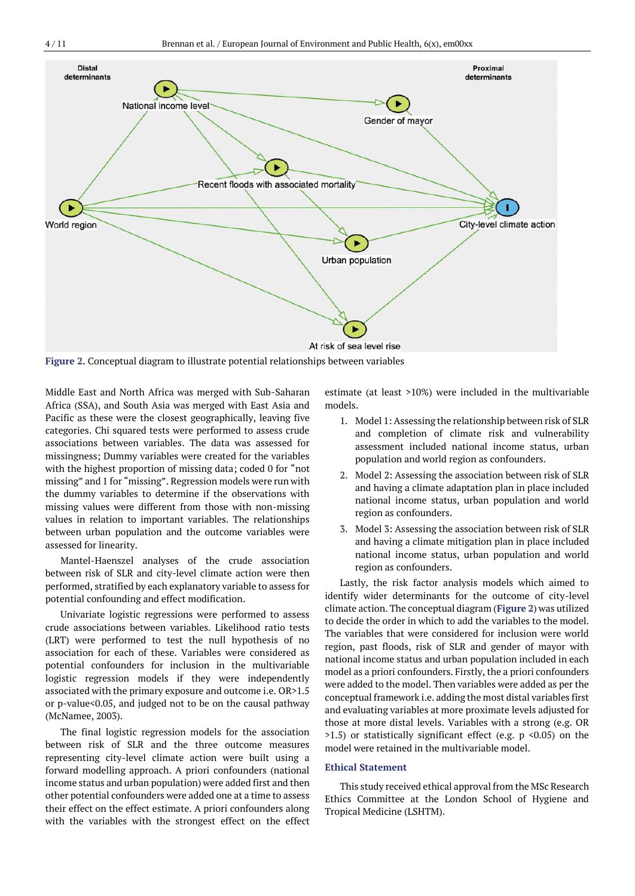

**Figure 2.** Conceptual diagram to illustrate potential relationships between variables

Middle East and North Africa was merged with Sub-Saharan Africa (SSA), and South Asia was merged with East Asia and Pacific as these were the closest geographically, leaving five categories. Chi squared tests were performed to assess crude associations between variables. The data was assessed for missingness; Dummy variables were created for the variables with the highest proportion of missing data; coded 0 for "not missing" and 1 for "missing". Regression models were run with the dummy variables to determine if the observations with missing values were different from those with non-missing values in relation to important variables. The relationships between urban population and the outcome variables were assessed for linearity.

Mantel-Haenszel analyses of the crude association between risk of SLR and city-level climate action were then performed, stratified by each explanatory variable to assess for potential confounding and effect modification.

Univariate logistic regressions were performed to assess crude associations between variables. Likelihood ratio tests (LRT) were performed to test the null hypothesis of no association for each of these. Variables were considered as potential confounders for inclusion in the multivariable logistic regression models if they were independently associated with the primary exposure and outcome i.e. OR>1.5 or p-value<0.05, and judged not to be on the causal pathway (McNamee, 2003).

The final logistic regression models for the association between risk of SLR and the three outcome measures representing city-level climate action were built using a forward modelling approach. A priori confounders (national income status and urban population) were added first and then other potential confounders were added one at a time to assess their effect on the effect estimate. A priori confounders along with the variables with the strongest effect on the effect estimate (at least >10%) were included in the multivariable models.

- 1. Model 1: Assessing the relationship between risk of SLR and completion of climate risk and vulnerability assessment included national income status, urban population and world region as confounders.
- 2. Model 2: Assessing the association between risk of SLR and having a climate adaptation plan in place included national income status, urban population and world region as confounders.
- 3. Model 3: Assessing the association between risk of SLR and having a climate mitigation plan in place included national income status, urban population and world region as confounders.

Lastly, the risk factor analysis models which aimed to identify wider determinants for the outcome of city-level climate action. The conceptual diagram (**Figure 2**) was utilized to decide the order in which to add the variables to the model. The variables that were considered for inclusion were world region, past floods, risk of SLR and gender of mayor with national income status and urban population included in each model as a priori confounders. Firstly, the a priori confounders were added to the model. Then variables were added as per the conceptual framework i.e. adding the most distal variables first and evaluating variables at more proximate levels adjusted for those at more distal levels. Variables with a strong (e.g. OR  $>1.5$ ) or statistically significant effect (e.g. p <0.05) on the model were retained in the multivariable model.

### **Ethical Statement**

This study received ethical approval from the MSc Research Ethics Committee at the London School of Hygiene and Tropical Medicine (LSHTM).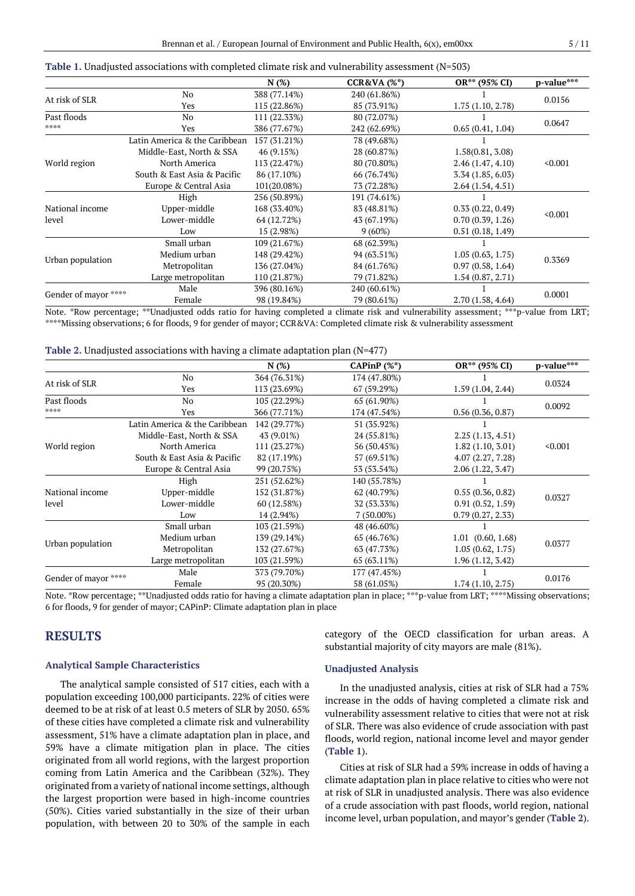|                       |                               | N(%)                        | $CCR&VA(%^*)$ | OR** (95% CI)    | p-value*** |
|-----------------------|-------------------------------|-----------------------------|---------------|------------------|------------|
|                       | No                            | 388 (77.14%)                | 240 (61.86%)  |                  |            |
| At risk of SLR        | Yes                           | 115 (22.86%)                | 85 (73.91%)   | 1.75(1.10, 2.78) | 0.0156     |
| Past floods           | N <sub>0</sub>                | 111 (22.33%)                | 80 (72.07%)   |                  |            |
| 2012/02/03            | Yes                           | 386 (77.67%)                | 242 (62.69%)  | 0.65(0.41, 1.04) | 0.0647     |
|                       | Latin America & the Caribbean | 157 (31.21%)                | 78 (49.68%)   |                  |            |
|                       | Middle-East, North & SSA      | 46 (9.15%)                  | 28 (60.87%)   | 1.58(0.81, 3.08) |            |
| World region          | North America                 | 113 (22.47%)                | 80 (70.80%)   | 2.46(1.47, 4.10) | < 0.001    |
|                       | South & East Asia & Pacific   | 86 (17.10%)                 | 66 (76.74%)   | 3.34(1.85, 6.03) |            |
|                       | Europe & Central Asia         | 101(20.08%)                 | 73 (72.28%)   | 2.64(1.54, 4.51) |            |
|                       | High                          | 256 (50.89%)                | 191 (74.61%)  |                  |            |
| National income       | Upper-middle                  | 168 (33.40%)                | 83 (48.81%)   | 0.33(0.22, 0.49) | < 0.001    |
| level                 | Lower-middle                  | 64 (12.72%)                 | 43 (67.19%)   | 0.70(0.39, 1.26) |            |
|                       | Low                           | 15 (2.98%)                  | 9(60%)        | 0.51(0.18, 1.49) |            |
|                       | Small urban                   | 109 (21.67%)                | 68 (62.39%)   |                  |            |
|                       | Medium urban                  | 148 (29.42%)                | 94 (63.51%)   | 1.05(0.63, 1.75) | 0.3369     |
| Urban population      | Metropolitan                  | 136 (27.04%)<br>84 (61.76%) |               | 0.97(0.58, 1.64) |            |
|                       | Large metropolitan            | 110 (21.87%)                | 79 (71.82%)   | 1.54(0.87, 2.71) |            |
|                       | Male                          | 396 (80.16%)                | 240 (60.61%)  |                  |            |
| Gender of mayor ***** | Female                        | 98 (19.84%)                 | 79 (80.61%)   | 2.70(1.58, 4.64) | 0.0001     |

| Table 1. Unadjusted associations with completed climate risk and vulnerability assessment (N=503) |  |  |  |
|---------------------------------------------------------------------------------------------------|--|--|--|
|                                                                                                   |  |  |  |

Note. \*Row percentage; \*\*Unadjusted odds ratio for having completed a climate risk and vulnerability assessment; \*\*\*p-value from LRT; \*\*\*\*Missing observations; 6 for floods, 9 for gender of mayor; CCR&VA: Completed climate risk & vulnerability assessment

**Table 2.** Unadjusted associations with having a climate adaptation plan (N=477)

|                       |                               | N(%)         | CAPinP $(\%^*)$ | OR** (95% CI)         | p-value*** |  |
|-----------------------|-------------------------------|--------------|-----------------|-----------------------|------------|--|
|                       | No                            | 364 (76.31%) | 174 (47.80%)    |                       |            |  |
| At risk of SLR        | Yes                           | 113 (23.69%) | 67 (59.29%)     | 1.59(1.04, 2.44)      | 0.0324     |  |
| Past floods           | No                            | 105 (22.29%) | 65 (61.90%)     |                       |            |  |
| 2012/02/02 20:        | Yes                           | 366 (77.71%) | 174 (47.54%)    | 0.56(0.36, 0.87)      | 0.0092     |  |
|                       | Latin America & the Caribbean | 142 (29.77%) | 51 (35.92%)     |                       |            |  |
|                       | Middle-East, North & SSA      | 43 (9.01%)   | 24 (55.81%)     | 2.25(1.13, 4.51)      |            |  |
| World region          | North America                 | 111 (23.27%) | 56 (50.45%)     | 1.82(1.10, 3.01)      | < 0.001    |  |
|                       | South & East Asia & Pacific   | 82 (17.19%)  | 57 (69.51%)     | 4.07 (2.27, 7.28)     |            |  |
|                       | Europe & Central Asia         | 99 (20.75%)  | 53 (53.54%)     | 2.06 (1.22, 3.47)     |            |  |
|                       | High                          | 251 (52.62%) | 140 (55.78%)    |                       |            |  |
| National income       | Upper-middle                  | 152 (31.87%) | 62 (40.79%)     | 0.55(0.36, 0.82)      | 0.0327     |  |
| level                 | Lower-middle                  | 60 (12.58%)  | 32 (53.33%)     | 0.91(0.52, 1.59)      |            |  |
|                       | Low                           | 14 (2.94%)   | $7(50.00\%)$    | 0.79(0.27, 2.33)      |            |  |
|                       | Small urban                   | 103 (21.59%) | 48 (46.60%)     |                       |            |  |
|                       | Medium urban                  | 139 (29.14%) | 65 (46.76%)     | $1.01$ $(0.60, 1.68)$ |            |  |
| Urban population      | Metropolitan                  | 132 (27.67%) | 63 (47.73%)     | 1.05(0.62, 1.75)      | 0.0377     |  |
|                       | Large metropolitan            | 103 (21.59%) | 65 (63.11%)     | 1.96(1.12, 3.42)      |            |  |
|                       | Male                          | 373 (79.70%) | 177 (47.45%)    |                       |            |  |
| Gender of mayor ***** | Female                        | 95 (20.30%)  | 58 (61.05%)     | 1.74(1.10, 2.75)      | 0.0176     |  |

Note. \*Row percentage; \*\*Unadjusted odds ratio for having a climate adaptation plan in place; \*\*\*p-value from LRT; \*\*\*\*Missing observations; 6 for floods, 9 for gender of mayor; CAPinP: Climate adaptation plan in place

## **RESULTS**

## **Analytical Sample Characteristics**

The analytical sample consisted of 517 cities, each with a population exceeding 100,000 participants. 22% of cities were deemed to be at risk of at least 0.5 meters of SLR by 2050. 65% of these cities have completed a climate risk and vulnerability assessment, 51% have a climate adaptation plan in place, and 59% have a climate mitigation plan in place. The cities originated from all world regions, with the largest proportion coming from Latin America and the Caribbean (32%). They originated from a variety of national income settings, although the largest proportion were based in high-income countries (50%). Cities varied substantially in the size of their urban population, with between 20 to 30% of the sample in each category of the OECD classification for urban areas. A substantial majority of city mayors are male (81%).

## **Unadjusted Analysis**

In the unadjusted analysis, cities at risk of SLR had a 75% increase in the odds of having completed a climate risk and vulnerability assessment relative to cities that were not at risk of SLR. There was also evidence of crude association with past floods, world region, national income level and mayor gender (**Table 1**).

Cities at risk of SLR had a 59% increase in odds of having a climate adaptation plan in place relative to cities who were not at risk of SLR in unadjusted analysis. There was also evidence of a crude association with past floods, world region, national income level, urban population, and mayor's gender (**Table 2**).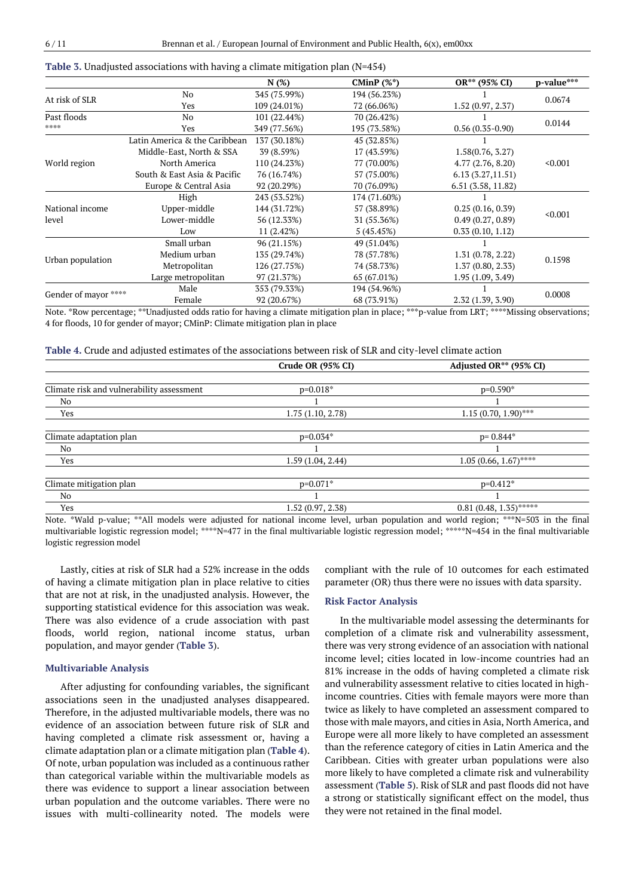|                       |                               | N(%)         | CMinP $(%^*)$ | OR** (95% CI)      | p-value*** |
|-----------------------|-------------------------------|--------------|---------------|--------------------|------------|
| At risk of SLR        | No                            | 345 (75.99%) | 194 (56.23%)  |                    |            |
|                       | Yes                           | 109 (24.01%) | 72 (66.06%)   | 1.52(0.97, 2.37)   | 0.0674     |
| Past floods           | No                            | 101 (22.44%) | 70 (26.42%)   |                    | 0.0144     |
| 2012/02/02 20:        | Yes                           | 349 (77.56%) | 195 (73.58%)  | $0.56(0.35-0.90)$  |            |
|                       | Latin America & the Caribbean | 137 (30.18%) | 45 (32.85%)   |                    |            |
|                       | Middle-East, North & SSA      | 39 (8.59%)   | 17 (43.59%)   | 1.58(0.76, 3.27)   |            |
| World region          | North America                 | 110 (24.23%) | 77 (70.00%)   | 4.77(2.76, 8.20)   | < 0.001    |
|                       | South & East Asia & Pacific   | 76 (16.74%)  | 57 (75.00%)   | 6.13(3.27,11.51)   |            |
|                       | Europe & Central Asia         | 92 (20.29%)  | 70 (76.09%)   | 6.51 (3.58, 11.82) |            |
|                       | High                          | 243 (53.52%) | 174 (71.60%)  |                    |            |
| National income       | Upper-middle                  | 144 (31.72%) | 57 (38.89%)   | 0.25(0.16, 0.39)   | < 0.001    |
| level                 | Lower-middle                  | 56 (12.33%)  | 31 (55.36%)   | 0.49(0.27, 0.89)   |            |
|                       | Low                           | 11(2.42%)    | 5(45.45%)     | 0.33(0.10, 1.12)   |            |
|                       | Small urban                   | 96 (21.15%)  | 49 (51.04%)   |                    |            |
|                       | Medium urban                  | 135 (29.74%) | 78 (57.78%)   | 1.31(0.78, 2.22)   | 0.1598     |
| Urban population      | Metropolitan                  | 126 (27.75%) | 74 (58.73%)   | 1.37(0.80, 2.33)   |            |
|                       | Large metropolitan            | 97 (21.37%)  | 65 (67.01%)   | 1.95 (1.09, 3.49)  |            |
|                       | Male                          | 353 (79.33%) | 194 (54.96%)  |                    |            |
| Gender of mayor ***** | Female                        | 92 (20.67%)  | 68 (73.91%)   | 2.32 (1.39, 3.90)  | 0.0008     |

#### **Table 3.** Unadjusted associations with having a climate mitigation plan (N=454)

Note. \*Row percentage; \*\*Unadjusted odds ratio for having a climate mitigation plan in place; \*\*\*p-value from LRT; \*\*\*\*Missing observations; 4 for floods, 10 for gender of mayor; CMinP: Climate mitigation plan in place

| Table 4. Crude and adjusted estimates of the associations between risk of SLR and city-level climate action |  |  |  |  |  |
|-------------------------------------------------------------------------------------------------------------|--|--|--|--|--|
|-------------------------------------------------------------------------------------------------------------|--|--|--|--|--|

|                                                                                                                 | Crude OR (95% CI) | Adjusted OR <sup>**</sup> (95% CI) |
|-----------------------------------------------------------------------------------------------------------------|-------------------|------------------------------------|
|                                                                                                                 |                   |                                    |
| Climate risk and vulnerability assessment                                                                       | $p=0.018*$        | $p=0.590*$                         |
| No                                                                                                              |                   |                                    |
| Yes                                                                                                             | 1.75(1.10, 2.78)  | $1.15(0.70, 1.90)$ ***             |
| Climate adaptation plan                                                                                         | $p=0.034*$        | $p = 0.844*$                       |
| No                                                                                                              |                   |                                    |
| Yes                                                                                                             | 1.59(1.04, 2.44)  | $1.05(0.66, 1.67)$ ****            |
| Climate mitigation plan                                                                                         | $p=0.071*$        | $p=0.412*$                         |
| No                                                                                                              |                   |                                    |
| Yes                                                                                                             | 1.52(0.97, 2.38)  | $0.81(0.48, 1.35)$ *****           |
| nn an dean a' an ainm an a-th-an a-th-an a-th-an a-th-an a-th-an an a-th-an a-th-an-th-an-th-an-th-an-th-an-th- |                   |                                    |

Note. \*Wald p-value; \*\*All models were adjusted for national income level, urban population and world region; \*\*\*N=503 in the final multivariable logistic regression model; \*\*\*\*N=477 in the final multivariable logistic regression model; \*\*\*\*\*N=454 in the final multivariable logistic regression model

Lastly, cities at risk of SLR had a 52% increase in the odds of having a climate mitigation plan in place relative to cities that are not at risk, in the unadjusted analysis. However, the supporting statistical evidence for this association was weak. There was also evidence of a crude association with past floods, world region, national income status, urban population, and mayor gender (**Table 3**).

### **Multivariable Analysis**

After adjusting for confounding variables, the significant associations seen in the unadjusted analyses disappeared. Therefore, in the adjusted multivariable models, there was no evidence of an association between future risk of SLR and having completed a climate risk assessment or, having a climate adaptation plan or a climate mitigation plan (**Table 4**). Of note, urban population was included as a continuous rather than categorical variable within the multivariable models as there was evidence to support a linear association between urban population and the outcome variables. There were no issues with multi-collinearity noted. The models were compliant with the rule of 10 outcomes for each estimated parameter (OR) thus there were no issues with data sparsity.

#### **Risk Factor Analysis**

In the multivariable model assessing the determinants for completion of a climate risk and vulnerability assessment, there was very strong evidence of an association with national income level; cities located in low-income countries had an 81% increase in the odds of having completed a climate risk and vulnerability assessment relative to cities located in highincome countries. Cities with female mayors were more than twice as likely to have completed an assessment compared to those with male mayors, and cities in Asia, North America, and Europe were all more likely to have completed an assessment than the reference category of cities in Latin America and the Caribbean. Cities with greater urban populations were also more likely to have completed a climate risk and vulnerability assessment (**Table 5**). Risk of SLR and past floods did not have a strong or statistically significant effect on the model, thus they were not retained in the final model.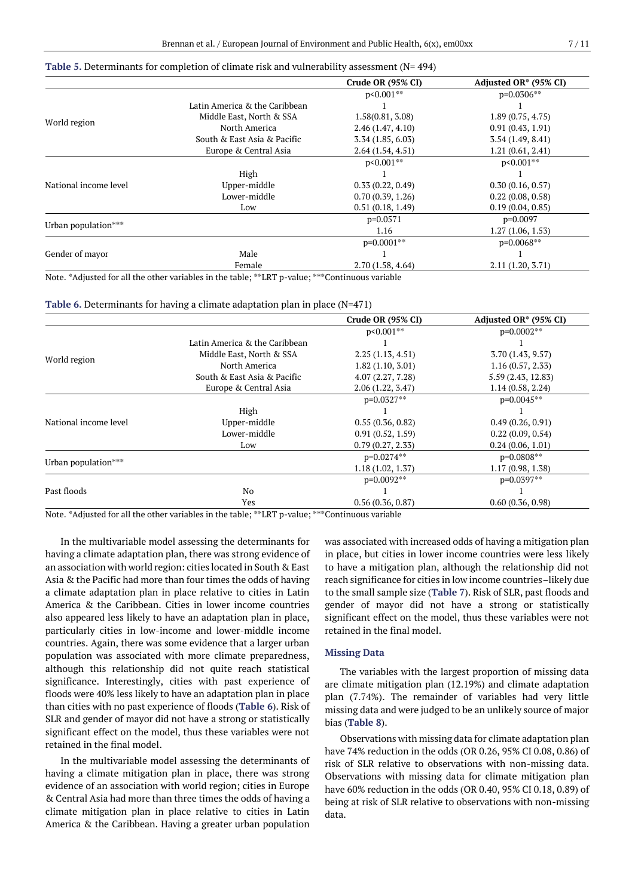|  | Table 5. Determinants for completion of climate risk and vulnerability assessment ( $N = 494$ ) |  |  |  |  |  |
|--|-------------------------------------------------------------------------------------------------|--|--|--|--|--|
|  |                                                                                                 |  |  |  |  |  |

|                       |                               | Crude OR (95% CI) | Adjusted OR* (95% CI) |
|-----------------------|-------------------------------|-------------------|-----------------------|
|                       |                               | $p < 0.001$ **    | $p=0.0306***$         |
|                       | Latin America & the Caribbean |                   |                       |
|                       | Middle East, North & SSA      | 1.58(0.81, 3.08)  | 1.89(0.75, 4.75)      |
| World region          | North America                 | 2.46(1.47, 4.10)  | 0.91(0.43, 1.91)      |
|                       | South & East Asia & Pacific   | 3.34(1.85, 6.03)  | 3.54(1.49, 8.41)      |
|                       | Europe & Central Asia         | 2.64(1.54, 4.51)  | 1.21(0.61, 2.41)      |
|                       |                               | $p<0.001**$       | p<0.001**             |
|                       | High                          |                   |                       |
| National income level | Upper-middle                  | 0.33(0.22, 0.49)  | 0.30(0.16, 0.57)      |
|                       | Lower-middle                  | 0.70(0.39, 1.26)  | 0.22(0.08, 0.58)      |
|                       | Low                           | 0.51(0.18, 1.49)  | 0.19(0.04, 0.85)      |
|                       |                               | $p=0.0571$        | $p=0.0097$            |
| Urban population***   |                               | 1.16              | 1.27(1.06, 1.53)      |
|                       |                               | $p=0.0001**$      | $p=0.0068***$         |
| Gender of mayor       | Male                          |                   |                       |
|                       | Female                        | 2.70(1.58, 4.64)  | 2.11(1.20, 3.71)      |

Note. \*Adjusted for all the other variables in the table; \*\*LRT p-value; \*\*\*Continuous variable

**Table 6.** Determinants for having a climate adaptation plan in place (N=471)

|                       |                               | Crude OR (95% CI) | Adjusted OR* (95% CI) |
|-----------------------|-------------------------------|-------------------|-----------------------|
|                       |                               | $p < 0.001$ **    | $p=0.0002**$          |
|                       | Latin America & the Caribbean |                   |                       |
| World region          | Middle East, North & SSA      | 2.25(1.13, 4.51)  | 3.70(1.43, 9.57)      |
|                       | North America                 | 1.82(1.10, 3.01)  | 1.16(0.57, 2.33)      |
|                       | South & East Asia & Pacific   | 4.07(2.27, 7.28)  | 5.59 (2.43, 12.83)    |
|                       | Europe & Central Asia         | 2.06(1.22, 3.47)  | 1.14(0.58, 2.24)      |
|                       |                               | $p=0.0327**$      | $p=0.0045***$         |
|                       | High                          |                   |                       |
| National income level | Upper-middle                  | 0.55(0.36, 0.82)  | 0.49(0.26, 0.91)      |
|                       | Lower-middle                  | 0.91(0.52, 1.59)  | 0.22(0.09, 0.54)      |
|                       | Low                           | 0.79(0.27, 2.33)  | 0.24(0.06, 1.01)      |
|                       |                               | p=0.0274**        | $p=0.0808***$         |
| Urban population***   |                               | 1.18(1.02, 1.37)  | 1.17(0.98, 1.38)      |
|                       |                               | $p=0.0092**$      | $p=0.0397**$          |
| Past floods           | No                            |                   |                       |
|                       | Yes                           | 0.56(0.36, 0.87)  | 0.60(0.36, 0.98)      |

Note. \*Adjusted for all the other variables in the table; \*\*LRT p-value; \*\*\*Continuous variable

In the multivariable model assessing the determinants for having a climate adaptation plan, there was strong evidence of an association with world region: cities located in South & East Asia & the Pacific had more than four times the odds of having a climate adaptation plan in place relative to cities in Latin America & the Caribbean. Cities in lower income countries also appeared less likely to have an adaptation plan in place, particularly cities in low-income and lower-middle income countries. Again, there was some evidence that a larger urban population was associated with more climate preparedness, although this relationship did not quite reach statistical significance. Interestingly, cities with past experience of floods were 40% less likely to have an adaptation plan in place than cities with no past experience of floods (**Table 6**). Risk of SLR and gender of mayor did not have a strong or statistically significant effect on the model, thus these variables were not retained in the final model.

In the multivariable model assessing the determinants of having a climate mitigation plan in place, there was strong evidence of an association with world region; cities in Europe & Central Asia had more than three times the odds of having a climate mitigation plan in place relative to cities in Latin America & the Caribbean. Having a greater urban population was associated with increased odds of having a mitigation plan in place, but cities in lower income countries were less likely to have a mitigation plan, although the relationship did not reach significance for cities in low income countries–likely due to the small sample size (**Table 7**). Risk of SLR, past floods and gender of mayor did not have a strong or statistically significant effect on the model, thus these variables were not retained in the final model.

#### **Missing Data**

The variables with the largest proportion of missing data are climate mitigation plan (12.19%) and climate adaptation plan (7.74%). The remainder of variables had very little missing data and were judged to be an unlikely source of major bias (**Table 8**).

Observations with missing data for climate adaptation plan have 74% reduction in the odds (OR 0.26, 95% CI 0.08, 0.86) of risk of SLR relative to observations with non-missing data. Observations with missing data for climate mitigation plan have 60% reduction in the odds (OR 0.40, 95% CI 0.18, 0.89) of being at risk of SLR relative to observations with non-missing data.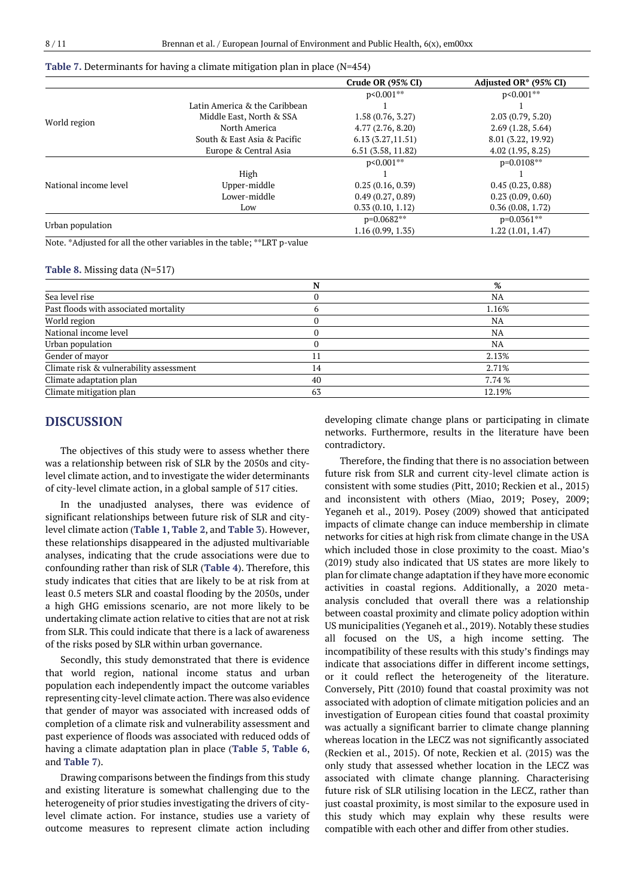|                       |                               | Crude OR (95% CI) | Adjusted OR* (95% CI) |
|-----------------------|-------------------------------|-------------------|-----------------------|
|                       |                               | $p<0.001**$       | $p<0.001***$          |
|                       | Latin America & the Caribbean |                   |                       |
|                       | Middle East, North & SSA      | 1.58(0.76, 3.27)  | 2.03(0.79, 5.20)      |
| World region          | North America                 | 4.77(2.76, 8.20)  | 2.69(1.28, 5.64)      |
|                       | South & East Asia & Pacific   | 6.13(3.27, 11.51) | 8.01 (3.22, 19.92)    |
|                       | Europe & Central Asia         | 6.51(3.58, 11.82) | 4.02(1.95, 8.25)      |
|                       |                               | $p<0.001***$      | $p=0.0108**$          |
|                       | High                          |                   |                       |
| National income level | Upper-middle                  | 0.25(0.16, 0.39)  | 0.45(0.23, 0.88)      |
|                       | Lower-middle                  | 0.49(0.27, 0.89)  | 0.23(0.09, 0.60)      |
|                       | Low                           | 0.33(0.10, 1.12)  | 0.36(0.08, 1.72)      |
|                       |                               | $p=0.0682**$      | $p=0.0361***$         |
| Urban population      |                               | 1.16(0.99, 1.35)  | 1.22(1.01, 1.47)      |

#### **Table 7.** Determinants for having a climate mitigation plan in place (N=454)

Note. \*Adjusted for all the other variables in the table; \*\*LRT p-value

#### **Table 8.** Missing data (N=517)

|                                         |    | %      |
|-----------------------------------------|----|--------|
| Sea level rise                          |    | NA     |
| Past floods with associated mortality   |    | 1.16%  |
| World region                            |    | NA     |
| National income level                   |    | NA     |
| Urban population                        |    | NA     |
| Gender of mayor                         |    | 2.13%  |
| Climate risk & vulnerability assessment | 14 | 2.71%  |
| Climate adaptation plan                 | 40 | 7.74 % |
| Climate mitigation plan                 | 63 | 12.19% |

## **DISCUSSION**

The objectives of this study were to assess whether there was a relationship between risk of SLR by the 2050s and citylevel climate action, and to investigate the wider determinants of city-level climate action, in a global sample of 517 cities.

In the unadjusted analyses, there was evidence of significant relationships between future risk of SLR and citylevel climate action (**Table 1**, **Table 2**, and **Table 3**). However, these relationships disappeared in the adjusted multivariable analyses, indicating that the crude associations were due to confounding rather than risk of SLR (**Table 4**). Therefore, this study indicates that cities that are likely to be at risk from at least 0.5 meters SLR and coastal flooding by the 2050s, under a high GHG emissions scenario, are not more likely to be undertaking climate action relative to cities that are not at risk from SLR. This could indicate that there is a lack of awareness of the risks posed by SLR within urban governance.

Secondly, this study demonstrated that there is evidence that world region, national income status and urban population each independently impact the outcome variables representing city-level climate action. There was also evidence that gender of mayor was associated with increased odds of completion of a climate risk and vulnerability assessment and past experience of floods was associated with reduced odds of having a climate adaptation plan in place (**Table 5**, **Table 6**, and **Table 7**).

Drawing comparisons between the findings from this study and existing literature is somewhat challenging due to the heterogeneity of prior studies investigating the drivers of citylevel climate action. For instance, studies use a variety of outcome measures to represent climate action including developing climate change plans or participating in climate networks. Furthermore, results in the literature have been contradictory.

Therefore, the finding that there is no association between future risk from SLR and current city-level climate action is consistent with some studies (Pitt, 2010; Reckien et al., 2015) and inconsistent with others (Miao, 2019; Posey, 2009; Yeganeh et al., 2019). Posey (2009) showed that anticipated impacts of climate change can induce membership in climate networks for cities at high risk from climate change in the USA which included those in close proximity to the coast. Miao's (2019) study also indicated that US states are more likely to plan for climate change adaptation if they have more economic activities in coastal regions. Additionally, a 2020 metaanalysis concluded that overall there was a relationship between coastal proximity and climate policy adoption within US municipalities (Yeganeh et al., 2019). Notably these studies all focused on the US, a high income setting. The incompatibility of these results with this study's findings may indicate that associations differ in different income settings, or it could reflect the heterogeneity of the literature. Conversely, Pitt (2010) found that coastal proximity was not associated with adoption of climate mitigation policies and an investigation of European cities found that coastal proximity was actually a significant barrier to climate change planning whereas location in the LECZ was not significantly associated (Reckien et al., 2015). Of note, Reckien et al. (2015) was the only study that assessed whether location in the LECZ was associated with climate change planning. Characterising future risk of SLR utilising location in the LECZ, rather than just coastal proximity, is most similar to the exposure used in this study which may explain why these results were compatible with each other and differ from other studies.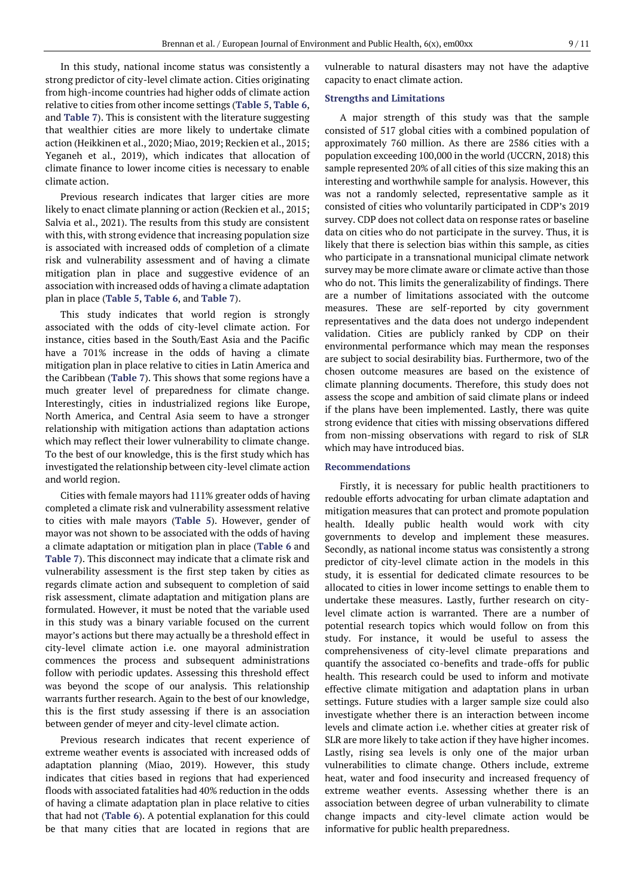In this study, national income status was consistently a strong predictor of city-level climate action. Cities originating from high-income countries had higher odds of climate action relative to cities from other income settings (**Table 5**, **Table 6**, and **Table 7**). This is consistent with the literature suggesting that wealthier cities are more likely to undertake climate action (Heikkinen et al., 2020; Miao, 2019; Reckien et al., 2015; Yeganeh et al., 2019), which indicates that allocation of climate finance to lower income cities is necessary to enable climate action.

Previous research indicates that larger cities are more likely to enact climate planning or action (Reckien et al., 2015; Salvia et al., 2021). The results from this study are consistent with this, with strong evidence that increasing population size is associated with increased odds of completion of a climate risk and vulnerability assessment and of having a climate mitigation plan in place and suggestive evidence of an association with increased odds of having a climate adaptation plan in place (**Table 5**, **Table 6**, and **Table 7**).

This study indicates that world region is strongly associated with the odds of city-level climate action. For instance, cities based in the South/East Asia and the Pacific have a 701% increase in the odds of having a climate mitigation plan in place relative to cities in Latin America and the Caribbean (**Table 7**). This shows that some regions have a much greater level of preparedness for climate change. Interestingly, cities in industrialized regions like Europe, North America, and Central Asia seem to have a stronger relationship with mitigation actions than adaptation actions which may reflect their lower vulnerability to climate change. To the best of our knowledge, this is the first study which has investigated the relationship between city-level climate action and world region.

Cities with female mayors had 111% greater odds of having completed a climate risk and vulnerability assessment relative to cities with male mayors (**Table 5**). However, gender of mayor was not shown to be associated with the odds of having a climate adaptation or mitigation plan in place (**Table 6** and **Table 7**). This disconnect may indicate that a climate risk and vulnerability assessment is the first step taken by cities as regards climate action and subsequent to completion of said risk assessment, climate adaptation and mitigation plans are formulated. However, it must be noted that the variable used in this study was a binary variable focused on the current mayor's actions but there may actually be a threshold effect in city-level climate action i.e. one mayoral administration commences the process and subsequent administrations follow with periodic updates. Assessing this threshold effect was beyond the scope of our analysis. This relationship warrants further research. Again to the best of our knowledge, this is the first study assessing if there is an association between gender of meyer and city-level climate action.

Previous research indicates that recent experience of extreme weather events is associated with increased odds of adaptation planning (Miao, 2019). However, this study indicates that cities based in regions that had experienced floods with associated fatalities had 40% reduction in the odds of having a climate adaptation plan in place relative to cities that had not (**Table 6**). A potential explanation for this could be that many cities that are located in regions that are vulnerable to natural disasters may not have the adaptive capacity to enact climate action.

### **Strengths and Limitations**

A major strength of this study was that the sample consisted of 517 global cities with a combined population of approximately 760 million. As there are 2586 cities with a population exceeding 100,000 in the world (UCCRN, 2018) this sample represented 20% of all cities of this size making this an interesting and worthwhile sample for analysis. However, this was not a randomly selected, representative sample as it consisted of cities who voluntarily participated in CDP's 2019 survey. CDP does not collect data on response rates or baseline data on cities who do not participate in the survey. Thus, it is likely that there is selection bias within this sample, as cities who participate in a transnational municipal climate network survey may be more climate aware or climate active than those who do not. This limits the generalizability of findings. There are a number of limitations associated with the outcome measures. These are self-reported by city government representatives and the data does not undergo independent validation. Cities are publicly ranked by CDP on their environmental performance which may mean the responses are subject to social desirability bias. Furthermore, two of the chosen outcome measures are based on the existence of climate planning documents. Therefore, this study does not assess the scope and ambition of said climate plans or indeed if the plans have been implemented. Lastly, there was quite strong evidence that cities with missing observations differed from non-missing observations with regard to risk of SLR which may have introduced bias.

#### **Recommendations**

Firstly, it is necessary for public health practitioners to redouble efforts advocating for urban climate adaptation and mitigation measures that can protect and promote population health. Ideally public health would work with city governments to develop and implement these measures. Secondly, as national income status was consistently a strong predictor of city-level climate action in the models in this study, it is essential for dedicated climate resources to be allocated to cities in lower income settings to enable them to undertake these measures. Lastly, further research on citylevel climate action is warranted. There are a number of potential research topics which would follow on from this study. For instance, it would be useful to assess the comprehensiveness of city-level climate preparations and quantify the associated co-benefits and trade-offs for public health. This research could be used to inform and motivate effective climate mitigation and adaptation plans in urban settings. Future studies with a larger sample size could also investigate whether there is an interaction between income levels and climate action i.e. whether cities at greater risk of SLR are more likely to take action if they have higher incomes. Lastly, rising sea levels is only one of the major urban vulnerabilities to climate change. Others include, extreme heat, water and food insecurity and increased frequency of extreme weather events. Assessing whether there is an association between degree of urban vulnerability to climate change impacts and city-level climate action would be informative for public health preparedness.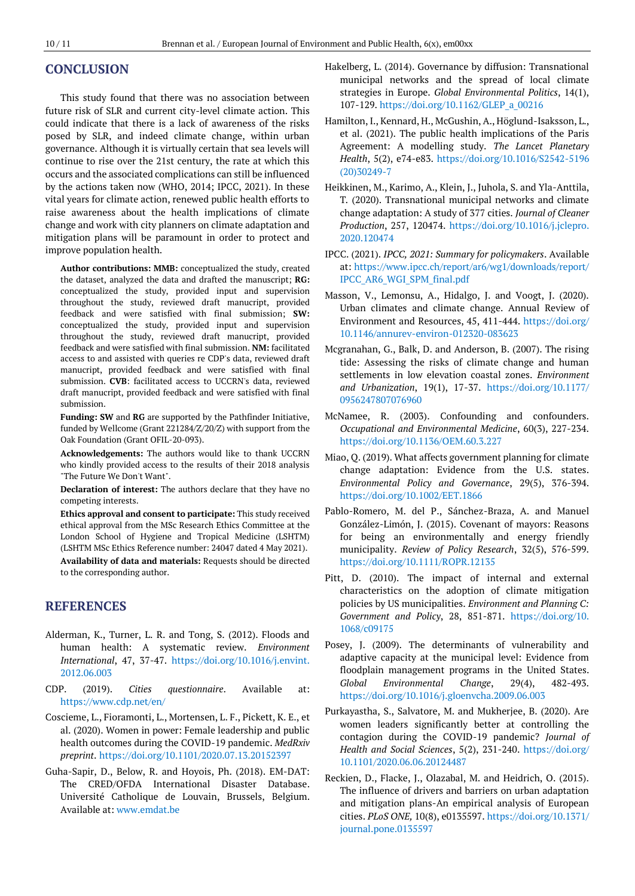## **CONCLUSION**

This study found that there was no association between future risk of SLR and current city-level climate action. This could indicate that there is a lack of awareness of the risks posed by SLR, and indeed climate change, within urban governance. Although it is virtually certain that sea levels will continue to rise over the 21st century, the rate at which this occurs and the associated complications can still be influenced by the actions taken now (WHO, 2014; IPCC, 2021). In these vital years for climate action, renewed public health efforts to raise awareness about the health implications of climate change and work with city planners on climate adaptation and mitigation plans will be paramount in order to protect and improve population health.

**Author contributions: MMB:** conceptualized the study, created the dataset, analyzed the data and drafted the manuscript; **RG:** conceptualized the study, provided input and supervision throughout the study, reviewed draft manucript, provided feedback and were satisfied with final submission; **SW:** conceptualized the study, provided input and supervision throughout the study, reviewed draft manucript, provided feedback and were satisfied with final submission. **NM:** facilitated access to and assisted with queries re CDP's data, reviewed draft manucript, provided feedback and were satisfied with final submission. **CVB**: facilitated access to UCCRN's data, reviewed draft manucript, provided feedback and were satisfied with final submission.

**Funding: SW** and **RG** are supported by the Pathfinder Initiative, funded by Wellcome (Grant 221284/Z/20/Z) with support from the Oak Foundation (Grant OFIL-20-093).

**Acknowledgements:** The authors would like to thank UCCRN who kindly provided access to the results of their 2018 analysis "The Future We Don't Want".

**Declaration of interest:** The authors declare that they have no competing interests.

**Ethics approval and consent to participate:** This study received ethical approval from the MSc Research Ethics Committee at the London School of Hygiene and Tropical Medicine (LSHTM) (LSHTM MSc Ethics Reference number: 24047 dated 4 May 2021). **Availability of data and materials:** Requests should be directed to the corresponding author.

## **REFERENCES**

- Alderman, K., Turner, L. R. and Tong, S. (2012). Floods and human health: A systematic review. *Environment International*, 47, 37-47. [https://doi.org/10.1016/j.envint.](https://doi.org/10.1016/j.envint.2012.06.003) [2012.06.003](https://doi.org/10.1016/j.envint.2012.06.003)
- CDP. (2019). *Cities questionnaire*. Available at: <https://www.cdp.net/en/>
- Coscieme, L., Fioramonti, L., Mortensen, L. F., Pickett, K. E., et al. (2020). Women in power: Female leadership and public health outcomes during the COVID-19 pandemic. *MedRxiv preprint*. <https://doi.org/10.1101/2020.07.13.20152397>
- Guha-Sapir, D., Below, R. and Hoyois, Ph. (2018). EM-DAT: The CRED/OFDA International Disaster Database. Université Catholique de Louvain, Brussels, Belgium. Available at[: www.emdat.be](http://www.emdat.be/)
- Hakelberg, L. (2014). Governance by diffusion: Transnational municipal networks and the spread of local climate strategies in Europe. *Global Environmental Politics*, 14(1), 107-129[. https://doi.org/10.1162/GLEP\\_a\\_00216](https://doi.org/10.1162/GLEP_a_00216)
- Hamilton, I., Kennard, H., McGushin, A., Höglund-Isaksson, L., et al. (2021). The public health implications of the Paris Agreement: A modelling study. *The Lancet Planetary Health*, 5(2), e74-e83. [https://doi.org/10.1016/S2542-5196](https://doi.org/10.1016/S2542-5196(20)30249-7) [\(20\)30249-7](https://doi.org/10.1016/S2542-5196(20)30249-7)
- Heikkinen, M., Karimo, A., Klein, J., Juhola, S. and Yla-Anttila, T*.* (2020). Transnational municipal networks and climate change adaptation: A study of 377 cities. *Journal of Cleaner Production*, 257, 120474. [https://doi.org/10.1016/j.jclepro.](https://doi.org/10.1016/j.jclepro.2020.120474) [2020.120474](https://doi.org/10.1016/j.jclepro.2020.120474)
- IPCC. (2021). *IPCC, 2021: Summary for policymakers*. Available at: [https://www.ipcc.ch/report/ar6/wg1/downloads/report/](https://www.ipcc.ch/report/ar6/wg1/downloads/report/IPCC_AR6_WGI_SPM_final.pdf) [IPCC\\_AR6\\_WGI\\_SPM\\_final.pdf](https://www.ipcc.ch/report/ar6/wg1/downloads/report/IPCC_AR6_WGI_SPM_final.pdf)
- Masson, V., Lemonsu, A., Hidalgo, J. and Voogt, J. (2020). Urban climates and climate change. Annual Review of Environment and Resources, 45, 411-444. [https://doi.org/](https://doi.org/10.1146/annurev-environ-012320-083623) [10.1146/annurev-environ-012320-083623](https://doi.org/10.1146/annurev-environ-012320-083623)
- Mcgranahan, G., Balk, D. and Anderson, B. (2007). The rising tide: Assessing the risks of climate change and human settlements in low elevation coastal zones. *Environment and Urbanization*, 19(1), 17-37. [https://doi.org/10.1177/](https://doi.org/10.1177/0956247807076960) [0956247807076960](https://doi.org/10.1177/0956247807076960)
- McNamee, R. (2003). Confounding and confounders. *Occupational and Environmental Medicine*, 60(3), 227-234. <https://doi.org/10.1136/OEM.60.3.227>
- Miao, Q. (2019). What affects government planning for climate change adaptation: Evidence from the U.S. states. *Environmental Policy and Governance*, 29(5), 376-394. <https://doi.org/10.1002/EET.1866>
- Pablo-Romero, M. del P., Sánchez-Braza, A. and Manuel González-Limón, J. (2015). Covenant of mayors: Reasons for being an environmentally and energy friendly municipality. *Review of Policy Research*, 32(5), 576-599. <https://doi.org/10.1111/ROPR.12135>
- Pitt, D. (2010). The impact of internal and external characteristics on the adoption of climate mitigation policies by US municipalities. *Environment and Planning C: Government and Policy*, 28, 851-871. [https://doi.org/10.](https://doi.org/10.1068/c09175) [1068/c09175](https://doi.org/10.1068/c09175)
- Posey, J. (2009). The determinants of vulnerability and adaptive capacity at the municipal level: Evidence from floodplain management programs in the United States. *Global Environmental Change*, 29(4), 482-493. <https://doi.org/10.1016/j.gloenvcha.2009.06.003>
- Purkayastha, S., Salvatore, M. and Mukherjee, B. (2020). Are women leaders significantly better at controlling the contagion during the COVID-19 pandemic? *Journal of Health and Social Sciences*, 5(2), 231-240. [https://doi.org/](https://doi.org/10.1101/2020.06.06.20124487) [10.1101/2020.06.06.20124487](https://doi.org/10.1101/2020.06.06.20124487)
- Reckien, D., Flacke, J., Olazabal, M. and Heidrich, O. (2015). The influence of drivers and barriers on urban adaptation and mitigation plans-An empirical analysis of European cities. *PLoS ONE,* 10(8), e0135597[. https://doi.org/10.1371/](https://doi.org/10.1371/journal.pone.0135597) [journal.pone.0135597](https://doi.org/10.1371/journal.pone.0135597)